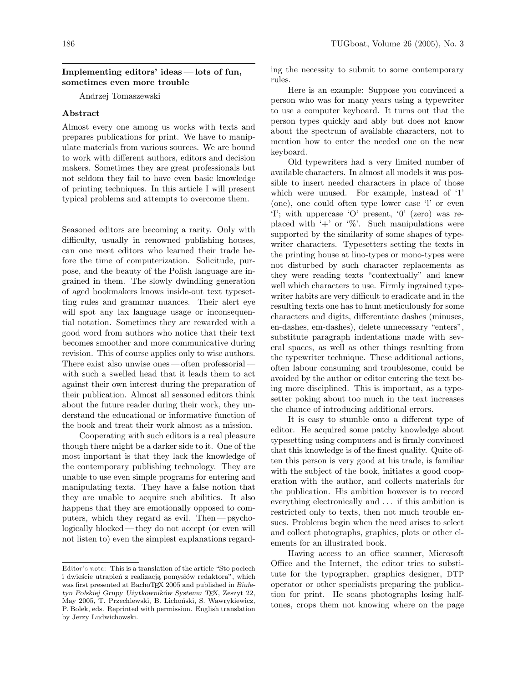## Implementing editors' ideas— lots of fun, sometimes even more trouble

Andrzej Tomaszewski

## Abstract

Almost every one among us works with texts and prepares publications for print. We have to manipulate materials from various sources. We are bound to work with different authors, editors and decision makers. Sometimes they are great professionals but not seldom they fail to have even basic knowledge of printing techniques. In this article I will present typical problems and attempts to overcome them.

Seasoned editors are becoming a rarity. Only with difficulty, usually in renowned publishing houses, can one meet editors who learned their trade before the time of computerization. Solicitude, purpose, and the beauty of the Polish language are ingrained in them. The slowly dwindling generation of aged bookmakers knows inside-out text typesetting rules and grammar nuances. Their alert eye will spot any lax language usage or inconsequential notation. Sometimes they are rewarded with a good word from authors who notice that their text becomes smoother and more communicative during revision. This of course applies only to wise authors. There exist also unwise ones — often professorial with such a swelled head that it leads them to act against their own interest during the preparation of their publication. Almost all seasoned editors think about the future reader during their work, they understand the educational or informative function of the book and treat their work almost as a mission.

Cooperating with such editors is a real pleasure though there might be a darker side to it. One of the most important is that they lack the knowledge of the contemporary publishing technology. They are unable to use even simple programs for entering and manipulating texts. They have a false notion that they are unable to acquire such abilities. It also happens that they are emotionally opposed to computers, which they regard as evil. Then— psychologically blocked— they do not accept (or even will not listen to) even the simplest explanations regarding the necessity to submit to some contemporary rules.

Here is an example: Suppose you convinced a person who was for many years using a typewriter to use a computer keyboard. It turns out that the person types quickly and ably but does not know about the spectrum of available characters, not to mention how to enter the needed one on the new keyboard.

Old typewriters had a very limited number of available characters. In almost all models it was possible to insert needed characters in place of those which were unused. For example, instead of '1' (one), one could often type lower case 'l' or even 'I'; with uppercase 'O' present, '0' (zero) was replaced with  $+$  or  $\%$ . Such manipulations were supported by the similarity of some shapes of typewriter characters. Typesetters setting the texts in the printing house at lino-types or mono-types were not disturbed by such character replacements as they were reading texts "contextually" and knew well which characters to use. Firmly ingrained typewriter habits are very difficult to eradicate and in the resulting texts one has to hunt meticulously for some characters and digits, differentiate dashes (minuses, en-dashes, em-dashes), delete unnecessary "enters", substitute paragraph indentations made with several spaces, as well as other things resulting from the typewriter technique. These additional actions, often labour consuming and troublesome, could be avoided by the author or editor entering the text being more disciplined. This is important, as a typesetter poking about too much in the text increases the chance of introducing additional errors.

It is easy to stumble onto a different type of editor. He acquired some patchy knowledge about typesetting using computers and is firmly convinced that this knowledge is of the finest quality. Quite often this person is very good at his trade, is familiar with the subject of the book, initiates a good cooperation with the author, and collects materials for the publication. His ambition however is to record everything electronically and . . . if this ambition is restricted only to texts, then not much trouble ensues. Problems begin when the need arises to select and collect photographs, graphics, plots or other elements for an illustrated book.

Having access to an office scanner, Microsoft Office and the Internet, the editor tries to substitute for the typographer, graphics designer, DTP operator or other specialists preparing the publication for print. He scans photographs losing halftones, crops them not knowing where on the page

Editor's note: This is a translation of the article "Sto pociech i dwieście utrapień z realizacją pomysłów redaktora", which was first presented at BachoTFX 2005 and published in Biuletyn Polskiej Grupy Użytkowników Systemu TEX, Zeszyt 22, May 2005, T. Przechlewski, B. Lichoński, S. Wawrykiewicz, P. Bolek, eds. Reprinted with permission. English translation by Jerzy Ludwichowski.